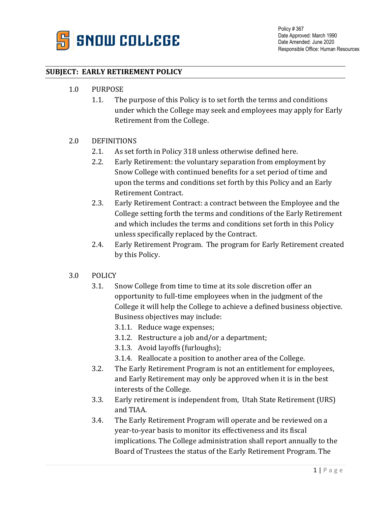

Policy # 367 Date Approved: March 1990 Date Amended: June 2020 Responsible Office: Human Resources

## **SUBJECT: EARLY RETIREMENT POLICY**

- 1.0 PURPOSE
	- 1.1. The purpose of this Policy is to set forth the terms and conditions under which the College may seek and employees may apply for Early Retirement from the College.

## 2.0 DEFINITIONS

- 2.1. As set forth in Policy 318 unless otherwise defined here.
- 2.2. Early Retirement: the voluntary separation from employment by Snow College with continued benefits for a set period of time and upon the terms and conditions set forth by this Policy and an Early Retirement Contract.
- 2.3. Early Retirement Contract: a contract between the Employee and the College setting forth the terms and conditions of the Early Retirement and which includes the terms and conditions set forth in this Policy unless specifically replaced by the Contract.
- 2.4. Early Retirement Program. The program for Early Retirement created by this Policy.
- 3.0 POLICY
	- 3.1. Snow College from time to time at its sole discretion offer an opportunity to full-time employees when in the judgment of the College it will help the College to achieve a defined business objective. Business objectives may include:
		- 3.1.1. Reduce wage expenses;
		- 3.1.2. Restructure a job and/or a department;
		- 3.1.3. Avoid layoffs (furloughs);
		- 3.1.4. Reallocate a position to another area of the College.
	- 3.2. The Early Retirement Program is not an entitlement for employees, and Early Retirement may only be approved when it is in the best interests of the College.
	- 3.3. Early retirement is independent from, Utah State Retirement (URS) and TIAA.
	- 3.4. The Early Retirement Program will operate and be reviewed on a year-to-year basis to monitor its effectiveness and its fiscal implications. The College administration shall report annually to the Board of Trustees the status of the Early Retirement Program. The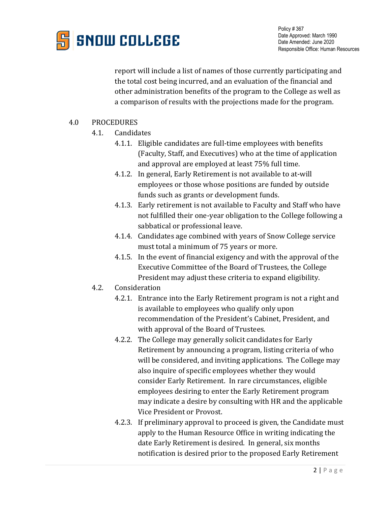

report will include a list of names of those currently participating and the total cost being incurred, and an evaluation of the financial and other administration benefits of the program to the College as well as a comparison of results with the projections made for the program.

## 4.0 PROCEDURES

- 4.1. Candidates
	- 4.1.1. Eligible candidates are full-time employees with benefits (Faculty, Staff, and Executives) who at the time of application and approval are employed at least 75% full time.
	- 4.1.2. In general, Early Retirement is not available to at-will employees or those whose positions are funded by outside funds such as grants or development funds.
	- 4.1.3. Early retirement is not available to Faculty and Staff who have not fulfilled their one-year obligation to the College following a sabbatical or professional leave.
	- 4.1.4. Candidates age combined with years of Snow College service must total a minimum of 75 years or more.
	- 4.1.5. In the event of financial exigency and with the approval of the Executive Committee of the Board of Trustees, the College President may adjust these criteria to expand eligibility.
- 4.2. Consideration
	- 4.2.1. Entrance into the Early Retirement program is not a right and is available to employees who qualify only upon recommendation of the President's Cabinet, President, and with approval of the Board of Trustees.
	- 4.2.2. The College may generally solicit candidates for Early Retirement by announcing a program, listing criteria of who will be considered, and inviting applications. The College may also inquire of specific employees whether they would consider Early Retirement. In rare circumstances, eligible employees desiring to enter the Early Retirement program may indicate a desire by consulting with HR and the applicable Vice President or Provost.
	- 4.2.3. If preliminary approval to proceed is given, the Candidate must apply to the Human Resource Office in writing indicating the date Early Retirement is desired. In general, six months notification is desired prior to the proposed Early Retirement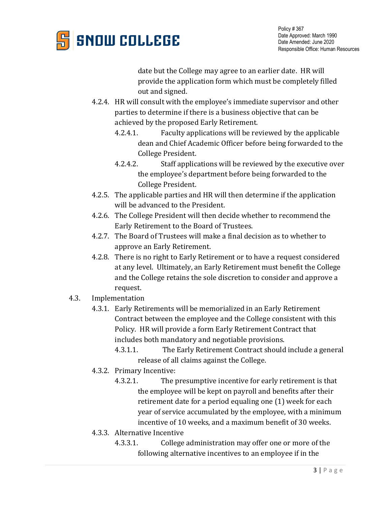

date but the College may agree to an earlier date. HR will provide the application form which must be completely filled out and signed.

- 4.2.4. HR will consult with the employee's immediate supervisor and other parties to determine if there is a business objective that can be achieved by the proposed Early Retirement.
	- 4.2.4.1. Faculty applications will be reviewed by the applicable dean and Chief Academic Officer before being forwarded to the College President.
	- 4.2.4.2. Staff applications will be reviewed by the executive over the employee's department before being forwarded to the College President.
- 4.2.5. The applicable parties and HR will then determine if the application will be advanced to the President.
- 4.2.6. The College President will then decide whether to recommend the Early Retirement to the Board of Trustees.
- 4.2.7. The Board of Trustees will make a final decision as to whether to approve an Early Retirement.
- 4.2.8. There is no right to Early Retirement or to have a request considered at any level. Ultimately, an Early Retirement must benefit the College and the College retains the sole discretion to consider and approve a request.
- 4.3. Implementation
	- 4.3.1. Early Retirements will be memorialized in an Early Retirement Contract between the employee and the College consistent with this Policy. HR will provide a form Early Retirement Contract that includes both mandatory and negotiable provisions.
		- 4.3.1.1. The Early Retirement Contract should include a general release of all claims against the College.
	- 4.3.2. Primary Incentive:
		- 4.3.2.1. The presumptive incentive for early retirement is that the employee will be kept on payroll and benefits after their retirement date for a period equaling one (1) week for each year of service accumulated by the employee, with a minimum incentive of 10 weeks, and a maximum benefit of 30 weeks.
	- 4.3.3. Alternative Incentive
		- 4.3.3.1. College administration may offer one or more of the following alternative incentives to an employee if in the